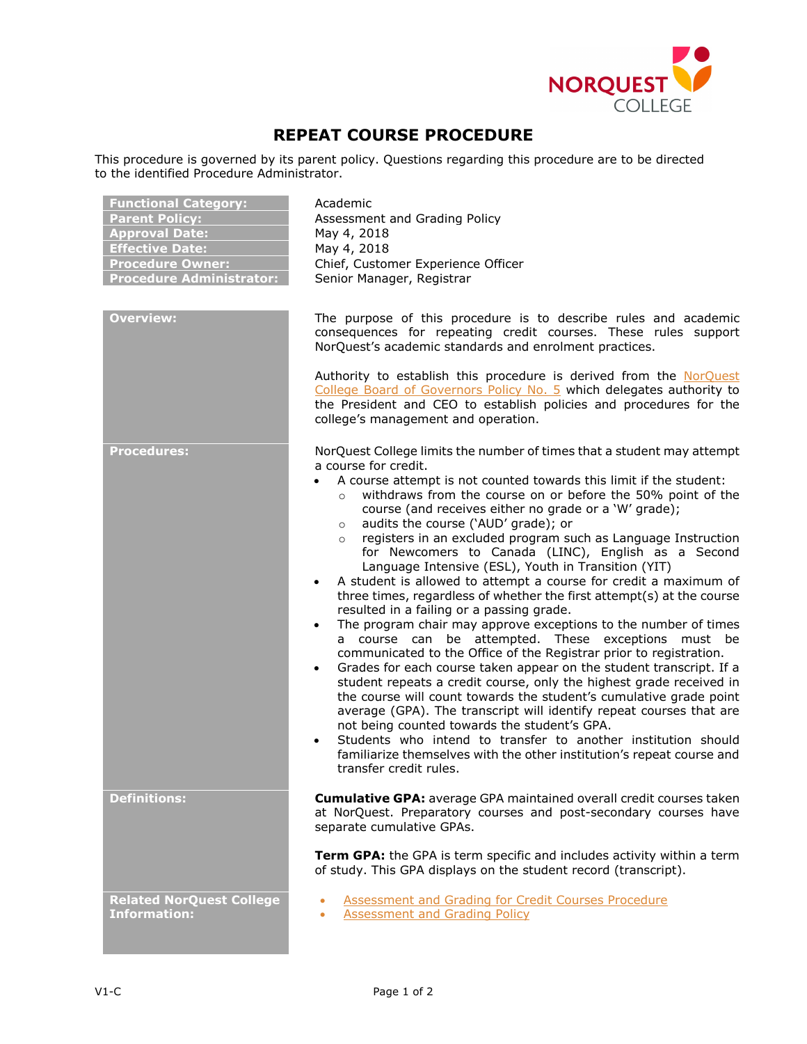

## **REPEAT COURSE PROCEDURE**

This procedure is governed by its parent policy. Questions regarding this procedure are to be directed to the identified Procedure Administrator.

| <b>Functional Category:</b><br><b>Parent Policy:</b><br><b>Approval Date:</b><br><b>Effective Date:</b><br><b>Procedure Owner:</b><br><b>Procedure Administrator:</b><br><b>Overview:</b> | Academic<br>Assessment and Grading Policy<br>May 4, 2018<br>May 4, 2018<br>Chief, Customer Experience Officer<br>Senior Manager, Registrar<br>The purpose of this procedure is to describe rules and academic                                                                                                                                                                                                                                                                                                                                                                                                                                                                                                                                                                                                                                                                                                                                                                                                                                                                                                                                                                                                                                                                                                                                                                                                                                                                          |
|-------------------------------------------------------------------------------------------------------------------------------------------------------------------------------------------|----------------------------------------------------------------------------------------------------------------------------------------------------------------------------------------------------------------------------------------------------------------------------------------------------------------------------------------------------------------------------------------------------------------------------------------------------------------------------------------------------------------------------------------------------------------------------------------------------------------------------------------------------------------------------------------------------------------------------------------------------------------------------------------------------------------------------------------------------------------------------------------------------------------------------------------------------------------------------------------------------------------------------------------------------------------------------------------------------------------------------------------------------------------------------------------------------------------------------------------------------------------------------------------------------------------------------------------------------------------------------------------------------------------------------------------------------------------------------------------|
|                                                                                                                                                                                           | consequences for repeating credit courses. These rules support<br>NorQuest's academic standards and enrolment practices.<br>Authority to establish this procedure is derived from the NorQuest<br>College Board of Governors Policy No. 5 which delegates authority to<br>the President and CEO to establish policies and procedures for the<br>college's management and operation.                                                                                                                                                                                                                                                                                                                                                                                                                                                                                                                                                                                                                                                                                                                                                                                                                                                                                                                                                                                                                                                                                                    |
| <b>Procedures:</b>                                                                                                                                                                        | NorQuest College limits the number of times that a student may attempt<br>a course for credit.<br>A course attempt is not counted towards this limit if the student:<br>withdraws from the course on or before the 50% point of the<br>$\circ$<br>course (and receives either no grade or a 'W' grade);<br>audits the course ('AUD' grade); or<br>$\circ$<br>registers in an excluded program such as Language Instruction<br>$\circ$<br>for Newcomers to Canada (LINC), English as a Second<br>Language Intensive (ESL), Youth in Transition (YIT)<br>A student is allowed to attempt a course for credit a maximum of<br>three times, regardless of whether the first attempt(s) at the course<br>resulted in a failing or a passing grade.<br>The program chair may approve exceptions to the number of times<br>$\bullet$<br>a course can be attempted. These exceptions must be<br>communicated to the Office of the Registrar prior to registration.<br>Grades for each course taken appear on the student transcript. If a<br>$\bullet$<br>student repeats a credit course, only the highest grade received in<br>the course will count towards the student's cumulative grade point<br>average (GPA). The transcript will identify repeat courses that are<br>not being counted towards the student's GPA.<br>Students who intend to transfer to another institution should<br>familiarize themselves with the other institution's repeat course and<br>transfer credit rules. |
| <b>Definitions:</b>                                                                                                                                                                       | <b>Cumulative GPA:</b> average GPA maintained overall credit courses taken<br>at NorQuest. Preparatory courses and post-secondary courses have<br>separate cumulative GPAs.<br>Term GPA: the GPA is term specific and includes activity within a term<br>of study. This GPA displays on the student record (transcript).                                                                                                                                                                                                                                                                                                                                                                                                                                                                                                                                                                                                                                                                                                                                                                                                                                                                                                                                                                                                                                                                                                                                                               |
| <b>Related NorQuest College</b><br><b>Information:</b>                                                                                                                                    | <b>Assessment and Grading for Credit Courses Procedure</b><br><b>Assessment and Grading Policy</b>                                                                                                                                                                                                                                                                                                                                                                                                                                                                                                                                                                                                                                                                                                                                                                                                                                                                                                                                                                                                                                                                                                                                                                                                                                                                                                                                                                                     |